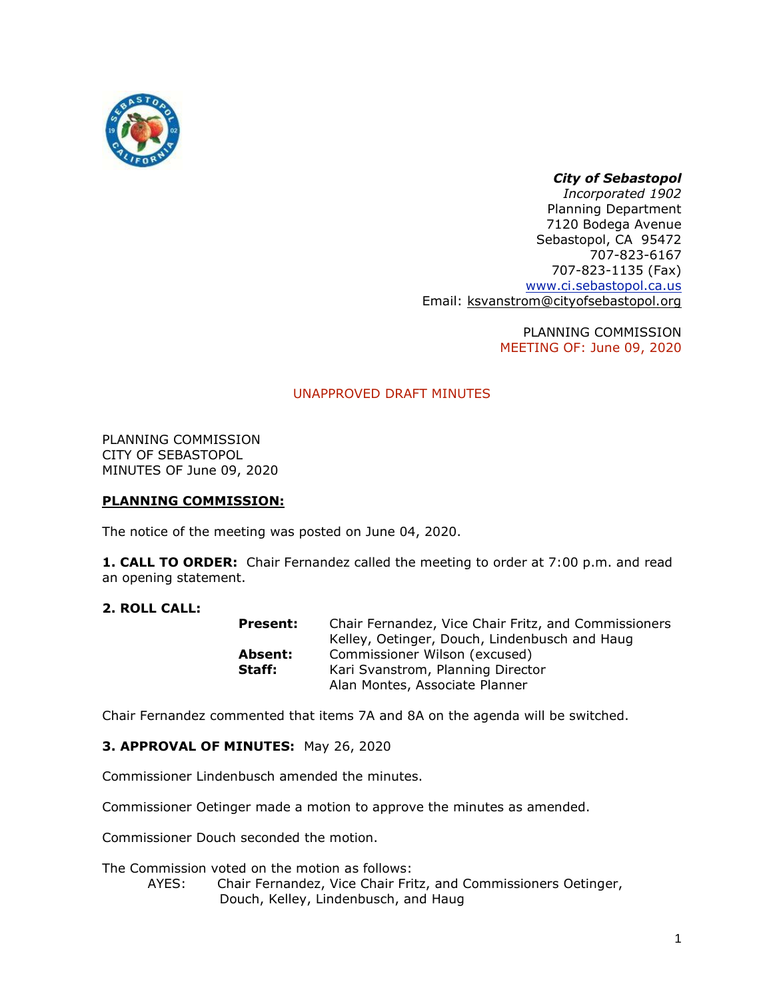

## *City of Sebastopol*

*Incorporated 1902* Planning Department 7120 Bodega Avenue Sebastopol, CA 95472 707-823-6167 707-823-1135 (Fax) [www.ci.sebastopol.ca.us](http://www.ci.sebastopol.ca.us/) Email: [ksvanstrom@cityofsebastopol.org](mailto:ksvanstrom@cityofsebastopol.org)

> PLANNING COMMISSION MEETING OF: June 09, 2020

## UNAPPROVED DRAFT MINUTES

PLANNING COMMISSION CITY OF SEBASTOPOL MINUTES OF June 09, 2020

### **PLANNING COMMISSION:**

The notice of the meeting was posted on June 04, 2020.

**1. CALL TO ORDER:** Chair Fernandez called the meeting to order at 7:00 p.m. and read an opening statement.

#### **2. ROLL CALL:**

| Present: | Chair Fernandez, Vice Chair Fritz, and Commissioners |
|----------|------------------------------------------------------|
|          | Kelley, Oetinger, Douch, Lindenbusch and Haug        |
| Absent:  | Commissioner Wilson (excused)                        |
| Staff:   | Kari Svanstrom, Planning Director                    |
|          | Alan Montes, Associate Planner                       |

Chair Fernandez commented that items 7A and 8A on the agenda will be switched.

**3. APPROVAL OF MINUTES:** May 26, 2020

Commissioner Lindenbusch amended the minutes.

Commissioner Oetinger made a motion to approve the minutes as amended.

Commissioner Douch seconded the motion.

The Commission voted on the motion as follows:

AYES: Chair Fernandez, Vice Chair Fritz, and Commissioners Oetinger, Douch, Kelley, Lindenbusch, and Haug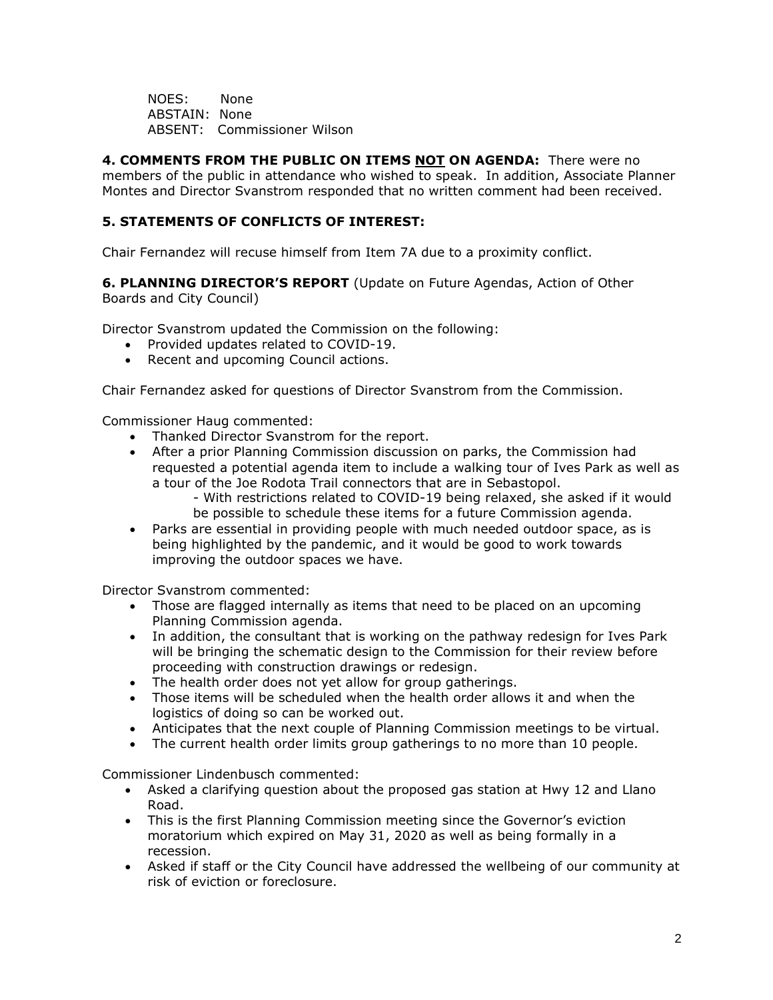NOES: None ABSTAIN: None ABSENT: Commissioner Wilson

**4. COMMENTS FROM THE PUBLIC ON ITEMS NOT ON AGENDA:** There were no members of the public in attendance who wished to speak. In addition, Associate Planner Montes and Director Svanstrom responded that no written comment had been received.

# **5. STATEMENTS OF CONFLICTS OF INTEREST:**

Chair Fernandez will recuse himself from Item 7A due to a proximity conflict.

**6. PLANNING DIRECTOR'S REPORT** (Update on Future Agendas, Action of Other Boards and City Council)

Director Svanstrom updated the Commission on the following:

- Provided updates related to COVID-19.
- Recent and upcoming Council actions.

Chair Fernandez asked for questions of Director Svanstrom from the Commission.

Commissioner Haug commented:

- Thanked Director Svanstrom for the report.
- After a prior Planning Commission discussion on parks, the Commission had requested a potential agenda item to include a walking tour of Ives Park as well as a tour of the Joe Rodota Trail connectors that are in Sebastopol.

- With restrictions related to COVID-19 being relaxed, she asked if it would be possible to schedule these items for a future Commission agenda.

• Parks are essential in providing people with much needed outdoor space, as is being highlighted by the pandemic, and it would be good to work towards improving the outdoor spaces we have.

Director Svanstrom commented:

- Those are flagged internally as items that need to be placed on an upcoming Planning Commission agenda.
- In addition, the consultant that is working on the pathway redesign for Ives Park will be bringing the schematic design to the Commission for their review before proceeding with construction drawings or redesign.
- The health order does not yet allow for group gatherings.
- Those items will be scheduled when the health order allows it and when the logistics of doing so can be worked out.
- Anticipates that the next couple of Planning Commission meetings to be virtual.
- The current health order limits group gatherings to no more than 10 people.

Commissioner Lindenbusch commented:

- Asked a clarifying question about the proposed gas station at Hwy 12 and Llano Road.
- This is the first Planning Commission meeting since the Governor's eviction moratorium which expired on May 31, 2020 as well as being formally in a recession.
- Asked if staff or the City Council have addressed the wellbeing of our community at risk of eviction or foreclosure.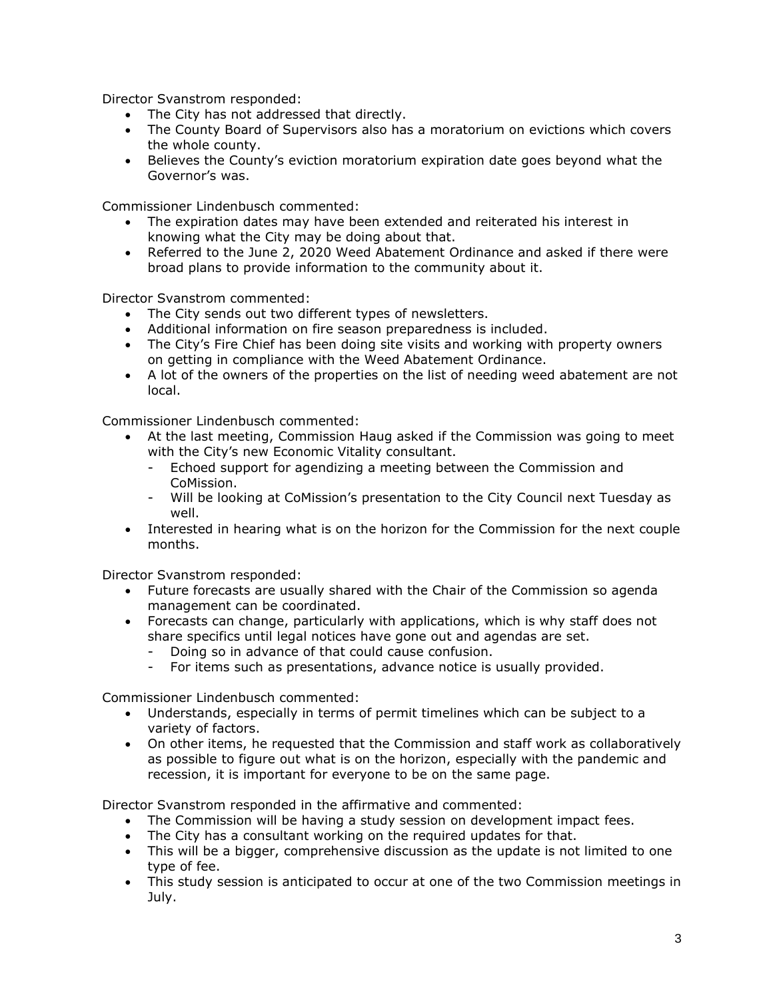Director Svanstrom responded:

- The City has not addressed that directly.
- The County Board of Supervisors also has a moratorium on evictions which covers the whole county.
- Believes the County's eviction moratorium expiration date goes beyond what the Governor's was.

Commissioner Lindenbusch commented:

- The expiration dates may have been extended and reiterated his interest in knowing what the City may be doing about that.
- Referred to the June 2, 2020 Weed Abatement Ordinance and asked if there were broad plans to provide information to the community about it.

Director Svanstrom commented:

- The City sends out two different types of newsletters.
- Additional information on fire season preparedness is included.
- The City's Fire Chief has been doing site visits and working with property owners on getting in compliance with the Weed Abatement Ordinance.
- A lot of the owners of the properties on the list of needing weed abatement are not local.

Commissioner Lindenbusch commented:

- At the last meeting, Commission Haug asked if the Commission was going to meet with the City's new Economic Vitality consultant.
	- Echoed support for agendizing a meeting between the Commission and CoMission.
	- Will be looking at CoMission's presentation to the City Council next Tuesday as well.
- Interested in hearing what is on the horizon for the Commission for the next couple months.

Director Svanstrom responded:

- Future forecasts are usually shared with the Chair of the Commission so agenda management can be coordinated.
- Forecasts can change, particularly with applications, which is why staff does not share specifics until legal notices have gone out and agendas are set.
	- Doing so in advance of that could cause confusion.
	- For items such as presentations, advance notice is usually provided.

Commissioner Lindenbusch commented:

- Understands, especially in terms of permit timelines which can be subject to a variety of factors.
- On other items, he requested that the Commission and staff work as collaboratively as possible to figure out what is on the horizon, especially with the pandemic and recession, it is important for everyone to be on the same page.

Director Svanstrom responded in the affirmative and commented:

- The Commission will be having a study session on development impact fees.
- The City has a consultant working on the required updates for that.
- This will be a bigger, comprehensive discussion as the update is not limited to one type of fee.
- This study session is anticipated to occur at one of the two Commission meetings in July.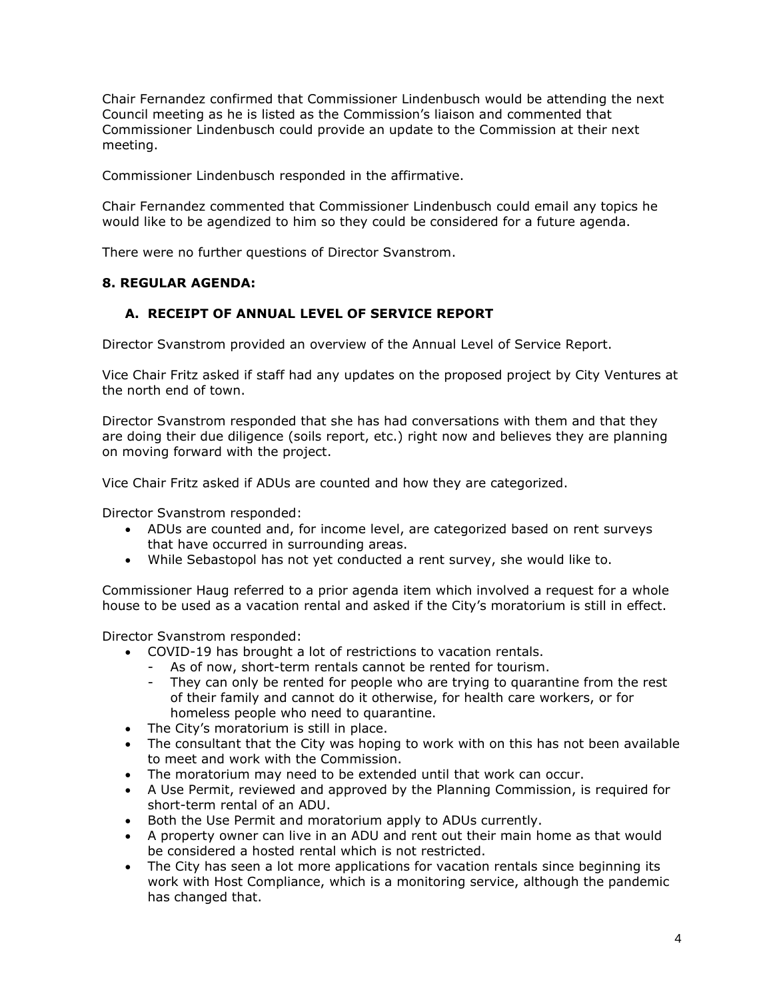Chair Fernandez confirmed that Commissioner Lindenbusch would be attending the next Council meeting as he is listed as the Commission's liaison and commented that Commissioner Lindenbusch could provide an update to the Commission at their next meeting.

Commissioner Lindenbusch responded in the affirmative.

Chair Fernandez commented that Commissioner Lindenbusch could email any topics he would like to be agendized to him so they could be considered for a future agenda.

There were no further questions of Director Svanstrom.

### **8. REGULAR AGENDA:**

## **A. RECEIPT OF ANNUAL LEVEL OF SERVICE REPORT**

Director Svanstrom provided an overview of the Annual Level of Service Report.

Vice Chair Fritz asked if staff had any updates on the proposed project by City Ventures at the north end of town.

Director Svanstrom responded that she has had conversations with them and that they are doing their due diligence (soils report, etc.) right now and believes they are planning on moving forward with the project.

Vice Chair Fritz asked if ADUs are counted and how they are categorized.

Director Svanstrom responded:

- ADUs are counted and, for income level, are categorized based on rent surveys that have occurred in surrounding areas.
- While Sebastopol has not yet conducted a rent survey, she would like to.

Commissioner Haug referred to a prior agenda item which involved a request for a whole house to be used as a vacation rental and asked if the City's moratorium is still in effect.

Director Svanstrom responded:

- COVID-19 has brought a lot of restrictions to vacation rentals.
	- As of now, short-term rentals cannot be rented for tourism.
	- They can only be rented for people who are trying to quarantine from the rest of their family and cannot do it otherwise, for health care workers, or for homeless people who need to quarantine.
- The City's moratorium is still in place.
- The consultant that the City was hoping to work with on this has not been available to meet and work with the Commission.
- The moratorium may need to be extended until that work can occur.
- A Use Permit, reviewed and approved by the Planning Commission, is required for short-term rental of an ADU.
- Both the Use Permit and moratorium apply to ADUs currently.
- A property owner can live in an ADU and rent out their main home as that would be considered a hosted rental which is not restricted.
- The City has seen a lot more applications for vacation rentals since beginning its work with Host Compliance, which is a monitoring service, although the pandemic has changed that.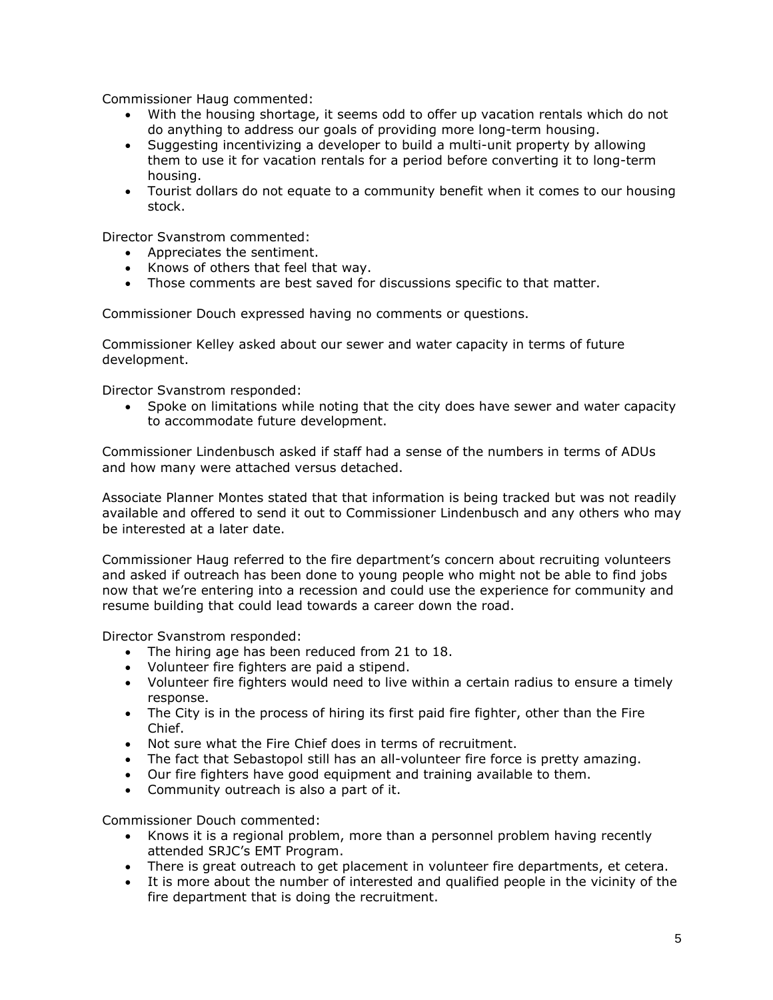Commissioner Haug commented:

- With the housing shortage, it seems odd to offer up vacation rentals which do not do anything to address our goals of providing more long-term housing.
- Suggesting incentivizing a developer to build a multi-unit property by allowing them to use it for vacation rentals for a period before converting it to long-term housing.
- Tourist dollars do not equate to a community benefit when it comes to our housing stock.

Director Svanstrom commented:

- Appreciates the sentiment.
- Knows of others that feel that way.
- Those comments are best saved for discussions specific to that matter.

Commissioner Douch expressed having no comments or questions.

Commissioner Kelley asked about our sewer and water capacity in terms of future development.

Director Svanstrom responded:

• Spoke on limitations while noting that the city does have sewer and water capacity to accommodate future development.

Commissioner Lindenbusch asked if staff had a sense of the numbers in terms of ADUs and how many were attached versus detached.

Associate Planner Montes stated that that information is being tracked but was not readily available and offered to send it out to Commissioner Lindenbusch and any others who may be interested at a later date.

Commissioner Haug referred to the fire department's concern about recruiting volunteers and asked if outreach has been done to young people who might not be able to find jobs now that we're entering into a recession and could use the experience for community and resume building that could lead towards a career down the road.

Director Svanstrom responded:

- The hiring age has been reduced from 21 to 18.
- Volunteer fire fighters are paid a stipend.
- Volunteer fire fighters would need to live within a certain radius to ensure a timely response.
- The City is in the process of hiring its first paid fire fighter, other than the Fire Chief.
- Not sure what the Fire Chief does in terms of recruitment.
- The fact that Sebastopol still has an all-volunteer fire force is pretty amazing.
- Our fire fighters have good equipment and training available to them.
- Community outreach is also a part of it.

Commissioner Douch commented:

- Knows it is a regional problem, more than a personnel problem having recently attended SRJC's EMT Program.
- There is great outreach to get placement in volunteer fire departments, et cetera.
- It is more about the number of interested and qualified people in the vicinity of the fire department that is doing the recruitment.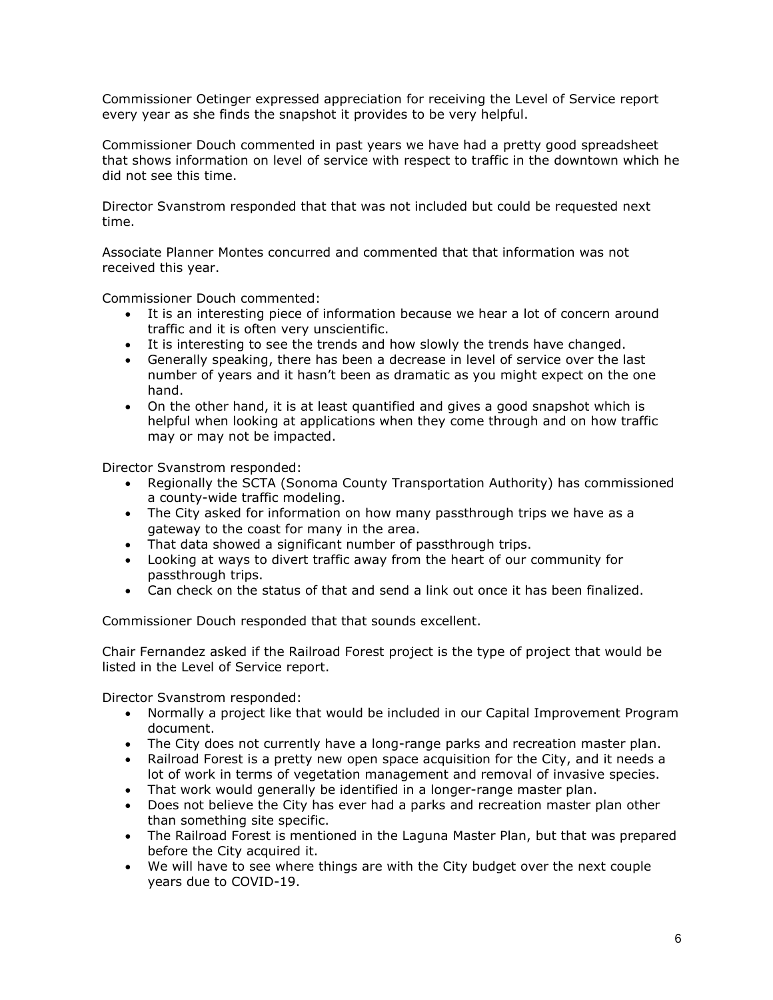Commissioner Oetinger expressed appreciation for receiving the Level of Service report every year as she finds the snapshot it provides to be very helpful.

Commissioner Douch commented in past years we have had a pretty good spreadsheet that shows information on level of service with respect to traffic in the downtown which he did not see this time.

Director Svanstrom responded that that was not included but could be requested next time.

Associate Planner Montes concurred and commented that that information was not received this year.

Commissioner Douch commented:

- It is an interesting piece of information because we hear a lot of concern around traffic and it is often very unscientific.
- It is interesting to see the trends and how slowly the trends have changed.
- Generally speaking, there has been a decrease in level of service over the last number of years and it hasn't been as dramatic as you might expect on the one hand.
- On the other hand, it is at least quantified and gives a good snapshot which is helpful when looking at applications when they come through and on how traffic may or may not be impacted.

Director Svanstrom responded:

- Regionally the SCTA (Sonoma County Transportation Authority) has commissioned a county-wide traffic modeling.
- The City asked for information on how many passthrough trips we have as a gateway to the coast for many in the area.
- That data showed a significant number of passthrough trips.
- Looking at ways to divert traffic away from the heart of our community for passthrough trips.
- Can check on the status of that and send a link out once it has been finalized.

Commissioner Douch responded that that sounds excellent.

Chair Fernandez asked if the Railroad Forest project is the type of project that would be listed in the Level of Service report.

Director Svanstrom responded:

- Normally a project like that would be included in our Capital Improvement Program document.
- The City does not currently have a long-range parks and recreation master plan.
- Railroad Forest is a pretty new open space acquisition for the City, and it needs a lot of work in terms of vegetation management and removal of invasive species.
- That work would generally be identified in a longer-range master plan.
- Does not believe the City has ever had a parks and recreation master plan other than something site specific.
- The Railroad Forest is mentioned in the Laguna Master Plan, but that was prepared before the City acquired it.
- We will have to see where things are with the City budget over the next couple years due to COVID-19.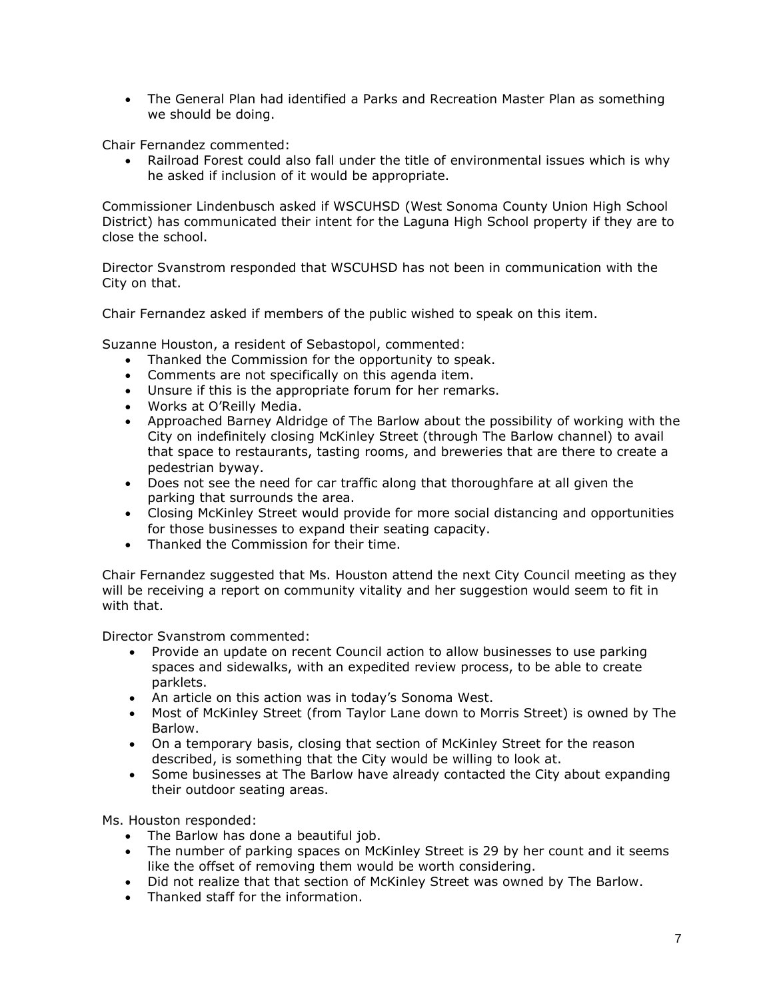• The General Plan had identified a Parks and Recreation Master Plan as something we should be doing.

Chair Fernandez commented:

• Railroad Forest could also fall under the title of environmental issues which is why he asked if inclusion of it would be appropriate.

Commissioner Lindenbusch asked if WSCUHSD (West Sonoma County Union High School District) has communicated their intent for the Laguna High School property if they are to close the school.

Director Svanstrom responded that WSCUHSD has not been in communication with the City on that.

Chair Fernandez asked if members of the public wished to speak on this item.

Suzanne Houston, a resident of Sebastopol, commented:

- Thanked the Commission for the opportunity to speak.
- Comments are not specifically on this agenda item.
- Unsure if this is the appropriate forum for her remarks.
- Works at O'Reilly Media.
- Approached Barney Aldridge of The Barlow about the possibility of working with the City on indefinitely closing McKinley Street (through The Barlow channel) to avail that space to restaurants, tasting rooms, and breweries that are there to create a pedestrian byway.
- Does not see the need for car traffic along that thoroughfare at all given the parking that surrounds the area.
- Closing McKinley Street would provide for more social distancing and opportunities for those businesses to expand their seating capacity.
- Thanked the Commission for their time.

Chair Fernandez suggested that Ms. Houston attend the next City Council meeting as they will be receiving a report on community vitality and her suggestion would seem to fit in with that.

Director Svanstrom commented:

- Provide an update on recent Council action to allow businesses to use parking spaces and sidewalks, with an expedited review process, to be able to create parklets.
- An article on this action was in today's Sonoma West.
- Most of McKinley Street (from Taylor Lane down to Morris Street) is owned by The Barlow.
- On a temporary basis, closing that section of McKinley Street for the reason described, is something that the City would be willing to look at.
- Some businesses at The Barlow have already contacted the City about expanding their outdoor seating areas.

Ms. Houston responded:

- The Barlow has done a beautiful job.
- The number of parking spaces on McKinley Street is 29 by her count and it seems like the offset of removing them would be worth considering.
- Did not realize that that section of McKinley Street was owned by The Barlow.
- Thanked staff for the information.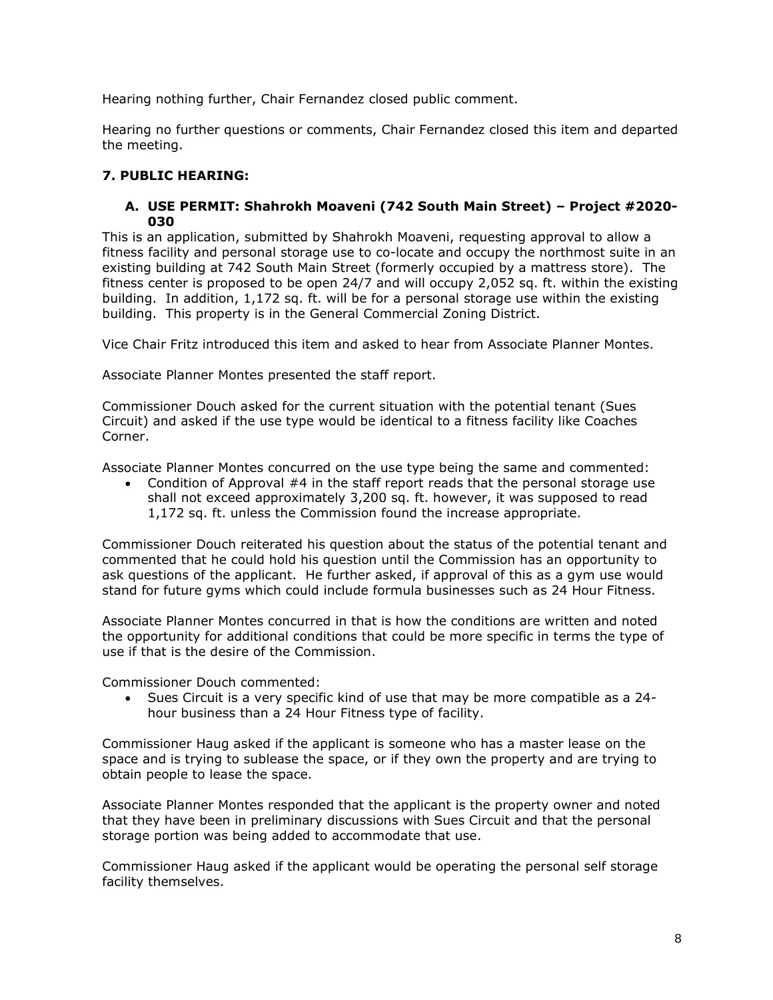Hearing nothing further, Chair Fernandez closed public comment.

Hearing no further questions or comments, Chair Fernandez closed this item and departed the meeting.

## **7. PUBLIC HEARING:**

### **A. USE PERMIT: Shahrokh Moaveni (742 South Main Street) – Project #2020- 030**

This is an application, submitted by Shahrokh Moaveni, requesting approval to allow a fitness facility and personal storage use to co-locate and occupy the northmost suite in an existing building at 742 South Main Street (formerly occupied by a mattress store). The fitness center is proposed to be open 24/7 and will occupy 2,052 sq. ft. within the existing building. In addition, 1,172 sq. ft. will be for a personal storage use within the existing building. This property is in the General Commercial Zoning District.

Vice Chair Fritz introduced this item and asked to hear from Associate Planner Montes.

Associate Planner Montes presented the staff report.

Commissioner Douch asked for the current situation with the potential tenant (Sues Circuit) and asked if the use type would be identical to a fitness facility like Coaches Corner.

Associate Planner Montes concurred on the use type being the same and commented:

• Condition of Approval #4 in the staff report reads that the personal storage use shall not exceed approximately 3,200 sq. ft. however, it was supposed to read 1,172 sq. ft. unless the Commission found the increase appropriate.

Commissioner Douch reiterated his question about the status of the potential tenant and commented that he could hold his question until the Commission has an opportunity to ask questions of the applicant. He further asked, if approval of this as a gym use would stand for future gyms which could include formula businesses such as 24 Hour Fitness.

Associate Planner Montes concurred in that is how the conditions are written and noted the opportunity for additional conditions that could be more specific in terms the type of use if that is the desire of the Commission.

Commissioner Douch commented:

• Sues Circuit is a very specific kind of use that may be more compatible as a 24 hour business than a 24 Hour Fitness type of facility.

Commissioner Haug asked if the applicant is someone who has a master lease on the space and is trying to sublease the space, or if they own the property and are trying to obtain people to lease the space.

Associate Planner Montes responded that the applicant is the property owner and noted that they have been in preliminary discussions with Sues Circuit and that the personal storage portion was being added to accommodate that use.

Commissioner Haug asked if the applicant would be operating the personal self storage facility themselves.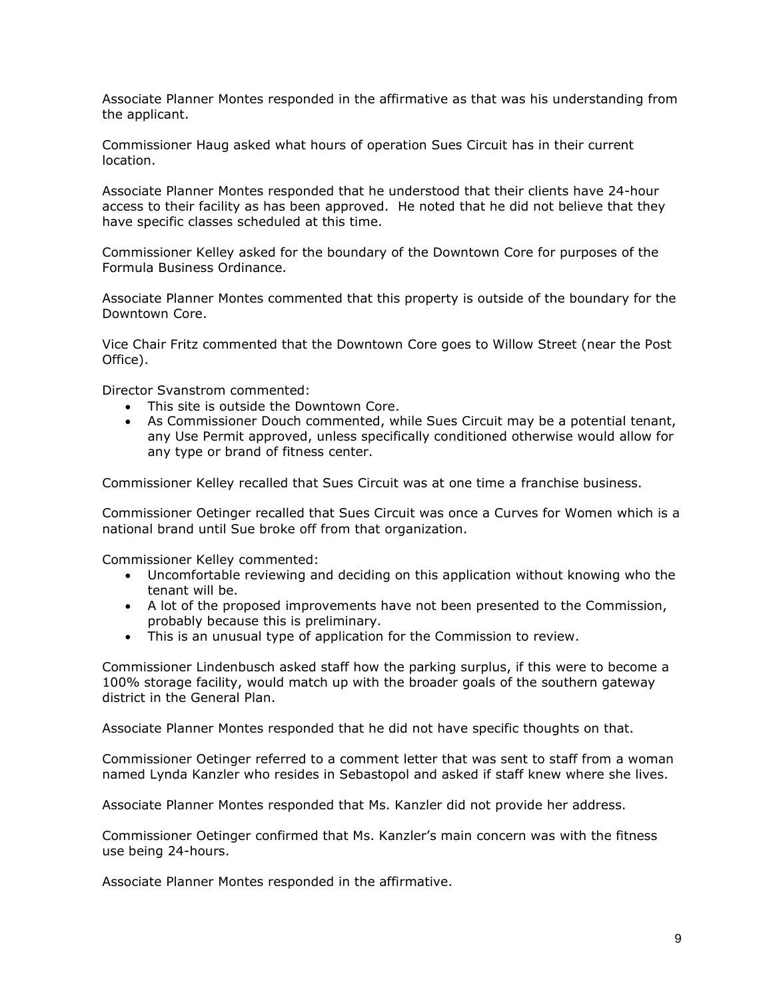Associate Planner Montes responded in the affirmative as that was his understanding from the applicant.

Commissioner Haug asked what hours of operation Sues Circuit has in their current location.

Associate Planner Montes responded that he understood that their clients have 24-hour access to their facility as has been approved. He noted that he did not believe that they have specific classes scheduled at this time.

Commissioner Kelley asked for the boundary of the Downtown Core for purposes of the Formula Business Ordinance.

Associate Planner Montes commented that this property is outside of the boundary for the Downtown Core.

Vice Chair Fritz commented that the Downtown Core goes to Willow Street (near the Post Office).

Director Svanstrom commented:

- This site is outside the Downtown Core.
- As Commissioner Douch commented, while Sues Circuit may be a potential tenant, any Use Permit approved, unless specifically conditioned otherwise would allow for any type or brand of fitness center.

Commissioner Kelley recalled that Sues Circuit was at one time a franchise business.

Commissioner Oetinger recalled that Sues Circuit was once a Curves for Women which is a national brand until Sue broke off from that organization.

Commissioner Kelley commented:

- Uncomfortable reviewing and deciding on this application without knowing who the tenant will be.
- A lot of the proposed improvements have not been presented to the Commission, probably because this is preliminary.
- This is an unusual type of application for the Commission to review.

Commissioner Lindenbusch asked staff how the parking surplus, if this were to become a 100% storage facility, would match up with the broader goals of the southern gateway district in the General Plan.

Associate Planner Montes responded that he did not have specific thoughts on that.

Commissioner Oetinger referred to a comment letter that was sent to staff from a woman named Lynda Kanzler who resides in Sebastopol and asked if staff knew where she lives.

Associate Planner Montes responded that Ms. Kanzler did not provide her address.

Commissioner Oetinger confirmed that Ms. Kanzler's main concern was with the fitness use being 24-hours.

Associate Planner Montes responded in the affirmative.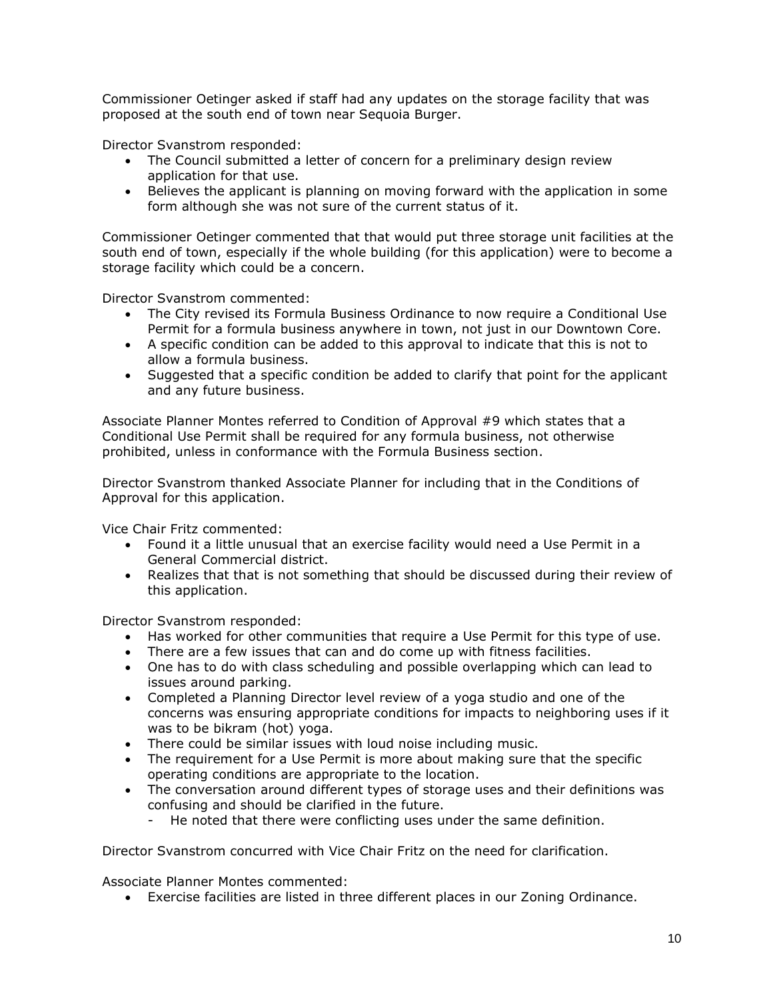Commissioner Oetinger asked if staff had any updates on the storage facility that was proposed at the south end of town near Sequoia Burger.

Director Svanstrom responded:

- The Council submitted a letter of concern for a preliminary design review application for that use.
- Believes the applicant is planning on moving forward with the application in some form although she was not sure of the current status of it.

Commissioner Oetinger commented that that would put three storage unit facilities at the south end of town, especially if the whole building (for this application) were to become a storage facility which could be a concern.

Director Svanstrom commented:

- The City revised its Formula Business Ordinance to now require a Conditional Use Permit for a formula business anywhere in town, not just in our Downtown Core.
- A specific condition can be added to this approval to indicate that this is not to allow a formula business.
- Suggested that a specific condition be added to clarify that point for the applicant and any future business.

Associate Planner Montes referred to Condition of Approval #9 which states that a Conditional Use Permit shall be required for any formula business, not otherwise prohibited, unless in conformance with the Formula Business section.

Director Svanstrom thanked Associate Planner for including that in the Conditions of Approval for this application.

Vice Chair Fritz commented:

- Found it a little unusual that an exercise facility would need a Use Permit in a General Commercial district.
- Realizes that that is not something that should be discussed during their review of this application.

Director Svanstrom responded:

- Has worked for other communities that require a Use Permit for this type of use.
- There are a few issues that can and do come up with fitness facilities.
- One has to do with class scheduling and possible overlapping which can lead to issues around parking.
- Completed a Planning Director level review of a yoga studio and one of the concerns was ensuring appropriate conditions for impacts to neighboring uses if it was to be bikram (hot) yoga.
- There could be similar issues with loud noise including music.
- The requirement for a Use Permit is more about making sure that the specific operating conditions are appropriate to the location.
- The conversation around different types of storage uses and their definitions was confusing and should be clarified in the future.
	- He noted that there were conflicting uses under the same definition.

Director Svanstrom concurred with Vice Chair Fritz on the need for clarification.

Associate Planner Montes commented:

• Exercise facilities are listed in three different places in our Zoning Ordinance.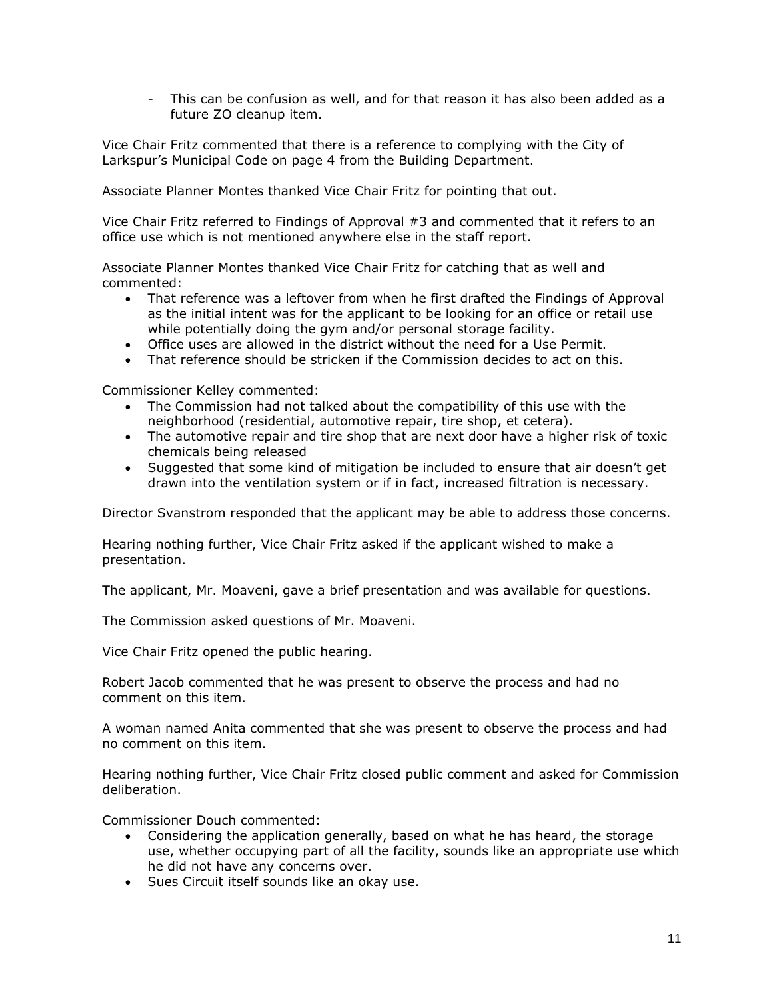- This can be confusion as well, and for that reason it has also been added as a future ZO cleanup item.

Vice Chair Fritz commented that there is a reference to complying with the City of Larkspur's Municipal Code on page 4 from the Building Department.

Associate Planner Montes thanked Vice Chair Fritz for pointing that out.

Vice Chair Fritz referred to Findings of Approval #3 and commented that it refers to an office use which is not mentioned anywhere else in the staff report.

Associate Planner Montes thanked Vice Chair Fritz for catching that as well and commented:

- That reference was a leftover from when he first drafted the Findings of Approval as the initial intent was for the applicant to be looking for an office or retail use while potentially doing the gym and/or personal storage facility.
- Office uses are allowed in the district without the need for a Use Permit.
- That reference should be stricken if the Commission decides to act on this.

Commissioner Kelley commented:

- The Commission had not talked about the compatibility of this use with the neighborhood (residential, automotive repair, tire shop, et cetera).
- The automotive repair and tire shop that are next door have a higher risk of toxic chemicals being released
- Suggested that some kind of mitigation be included to ensure that air doesn't get drawn into the ventilation system or if in fact, increased filtration is necessary.

Director Svanstrom responded that the applicant may be able to address those concerns.

Hearing nothing further, Vice Chair Fritz asked if the applicant wished to make a presentation.

The applicant, Mr. Moaveni, gave a brief presentation and was available for questions.

The Commission asked questions of Mr. Moaveni.

Vice Chair Fritz opened the public hearing.

Robert Jacob commented that he was present to observe the process and had no comment on this item.

A woman named Anita commented that she was present to observe the process and had no comment on this item.

Hearing nothing further, Vice Chair Fritz closed public comment and asked for Commission deliberation.

Commissioner Douch commented:

- Considering the application generally, based on what he has heard, the storage use, whether occupying part of all the facility, sounds like an appropriate use which he did not have any concerns over.
- Sues Circuit itself sounds like an okay use.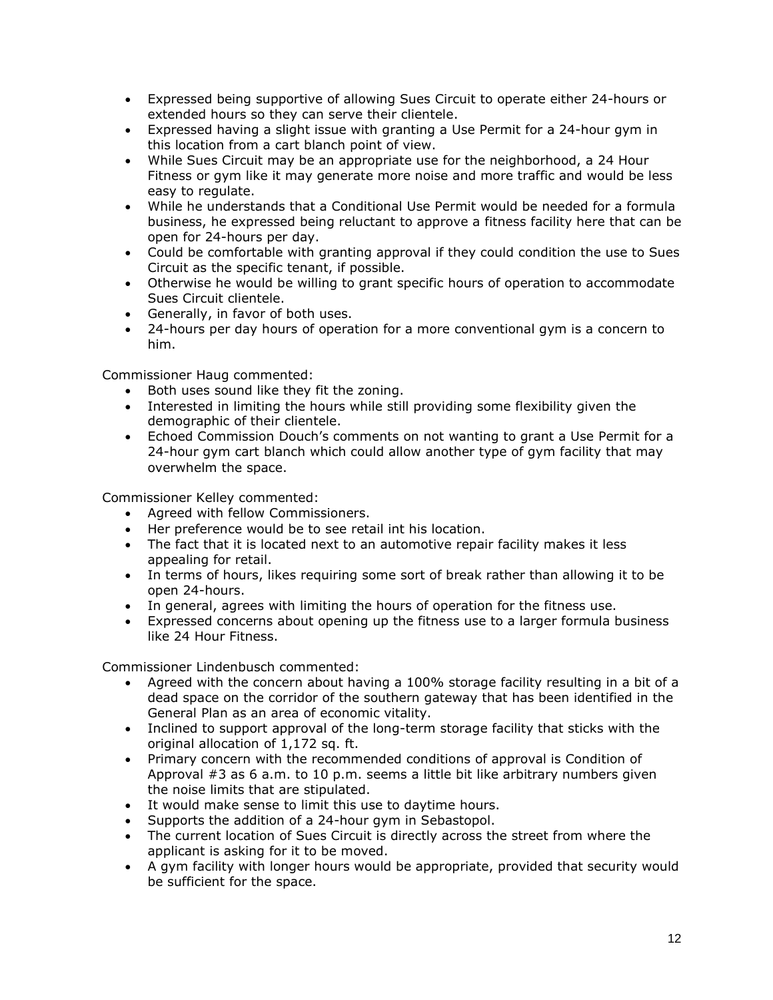- Expressed being supportive of allowing Sues Circuit to operate either 24-hours or extended hours so they can serve their clientele.
- Expressed having a slight issue with granting a Use Permit for a 24-hour gym in this location from a cart blanch point of view.
- While Sues Circuit may be an appropriate use for the neighborhood, a 24 Hour Fitness or gym like it may generate more noise and more traffic and would be less easy to regulate.
- While he understands that a Conditional Use Permit would be needed for a formula business, he expressed being reluctant to approve a fitness facility here that can be open for 24-hours per day.
- Could be comfortable with granting approval if they could condition the use to Sues Circuit as the specific tenant, if possible.
- Otherwise he would be willing to grant specific hours of operation to accommodate Sues Circuit clientele.
- Generally, in favor of both uses.
- 24-hours per day hours of operation for a more conventional gym is a concern to him.

Commissioner Haug commented:

- Both uses sound like they fit the zoning.
- Interested in limiting the hours while still providing some flexibility given the demographic of their clientele.
- Echoed Commission Douch's comments on not wanting to grant a Use Permit for a 24-hour gym cart blanch which could allow another type of gym facility that may overwhelm the space.

Commissioner Kelley commented:

- Agreed with fellow Commissioners.
- Her preference would be to see retail int his location.
- The fact that it is located next to an automotive repair facility makes it less appealing for retail.
- In terms of hours, likes requiring some sort of break rather than allowing it to be open 24-hours.
- In general, agrees with limiting the hours of operation for the fitness use.
- Expressed concerns about opening up the fitness use to a larger formula business like 24 Hour Fitness.

Commissioner Lindenbusch commented:

- Agreed with the concern about having a 100% storage facility resulting in a bit of a dead space on the corridor of the southern gateway that has been identified in the General Plan as an area of economic vitality.
- Inclined to support approval of the long-term storage facility that sticks with the original allocation of 1,172 sq. ft.
- Primary concern with the recommended conditions of approval is Condition of Approval #3 as 6 a.m. to 10 p.m. seems a little bit like arbitrary numbers given the noise limits that are stipulated.
- It would make sense to limit this use to daytime hours.
- Supports the addition of a 24-hour gym in Sebastopol.
- The current location of Sues Circuit is directly across the street from where the applicant is asking for it to be moved.
- A gym facility with longer hours would be appropriate, provided that security would be sufficient for the space.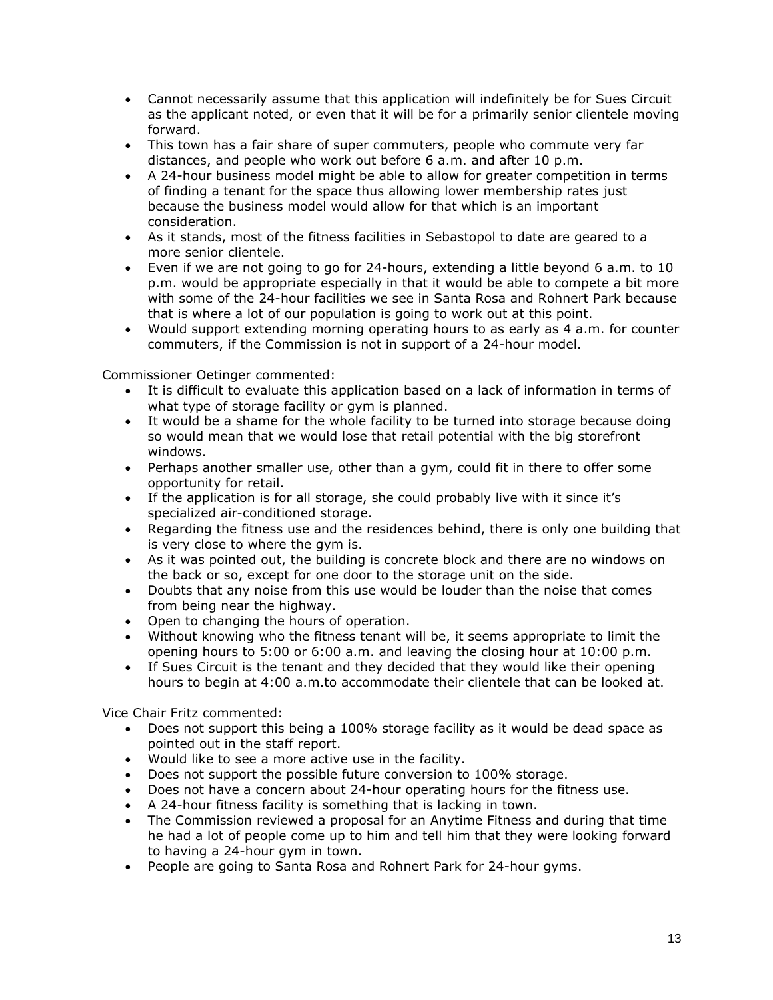- Cannot necessarily assume that this application will indefinitely be for Sues Circuit as the applicant noted, or even that it will be for a primarily senior clientele moving forward.
- This town has a fair share of super commuters, people who commute very far distances, and people who work out before 6 a.m. and after 10 p.m.
- A 24-hour business model might be able to allow for greater competition in terms of finding a tenant for the space thus allowing lower membership rates just because the business model would allow for that which is an important consideration.
- As it stands, most of the fitness facilities in Sebastopol to date are geared to a more senior clientele.
- Even if we are not going to go for 24-hours, extending a little beyond 6 a.m. to 10 p.m. would be appropriate especially in that it would be able to compete a bit more with some of the 24-hour facilities we see in Santa Rosa and Rohnert Park because that is where a lot of our population is going to work out at this point.
- Would support extending morning operating hours to as early as 4 a.m. for counter commuters, if the Commission is not in support of a 24-hour model.

Commissioner Oetinger commented:

- It is difficult to evaluate this application based on a lack of information in terms of what type of storage facility or gym is planned.
- It would be a shame for the whole facility to be turned into storage because doing so would mean that we would lose that retail potential with the big storefront windows.
- Perhaps another smaller use, other than a gym, could fit in there to offer some opportunity for retail.
- If the application is for all storage, she could probably live with it since it's specialized air-conditioned storage.
- Regarding the fitness use and the residences behind, there is only one building that is very close to where the gym is.
- As it was pointed out, the building is concrete block and there are no windows on the back or so, except for one door to the storage unit on the side.
- Doubts that any noise from this use would be louder than the noise that comes from being near the highway.
- Open to changing the hours of operation.
- Without knowing who the fitness tenant will be, it seems appropriate to limit the opening hours to 5:00 or 6:00 a.m. and leaving the closing hour at 10:00 p.m.
- If Sues Circuit is the tenant and they decided that they would like their opening hours to begin at 4:00 a.m.to accommodate their clientele that can be looked at.

Vice Chair Fritz commented:

- Does not support this being a 100% storage facility as it would be dead space as pointed out in the staff report.
- Would like to see a more active use in the facility.
- Does not support the possible future conversion to 100% storage.
- Does not have a concern about 24-hour operating hours for the fitness use.
- A 24-hour fitness facility is something that is lacking in town.
- The Commission reviewed a proposal for an Anytime Fitness and during that time he had a lot of people come up to him and tell him that they were looking forward to having a 24-hour gym in town.
- People are going to Santa Rosa and Rohnert Park for 24-hour gyms.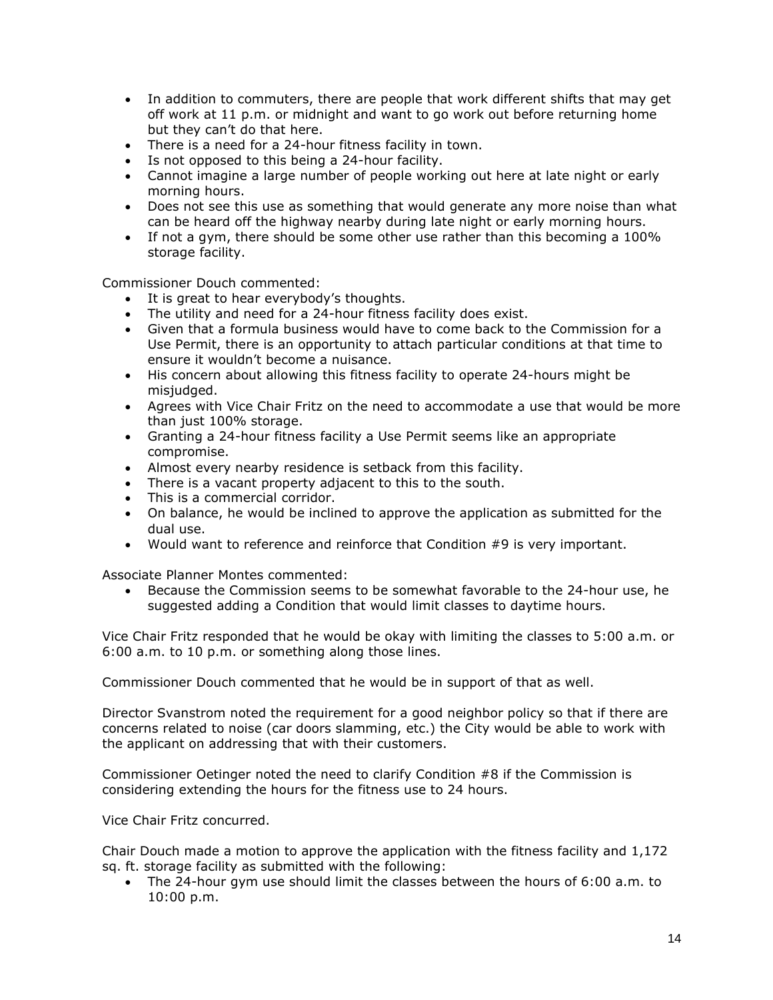- In addition to commuters, there are people that work different shifts that may get off work at 11 p.m. or midnight and want to go work out before returning home but they can't do that here.
- There is a need for a 24-hour fitness facility in town.
- Is not opposed to this being a 24-hour facility.
- Cannot imagine a large number of people working out here at late night or early morning hours.
- Does not see this use as something that would generate any more noise than what can be heard off the highway nearby during late night or early morning hours.
- If not a gym, there should be some other use rather than this becoming a 100% storage facility.

Commissioner Douch commented:

- It is great to hear everybody's thoughts.
- The utility and need for a 24-hour fitness facility does exist.
- Given that a formula business would have to come back to the Commission for a Use Permit, there is an opportunity to attach particular conditions at that time to ensure it wouldn't become a nuisance.
- His concern about allowing this fitness facility to operate 24-hours might be misjudged.
- Agrees with Vice Chair Fritz on the need to accommodate a use that would be more than just 100% storage.
- Granting a 24-hour fitness facility a Use Permit seems like an appropriate compromise.
- Almost every nearby residence is setback from this facility.
- There is a vacant property adjacent to this to the south.
- This is a commercial corridor.
- On balance, he would be inclined to approve the application as submitted for the dual use.
- Would want to reference and reinforce that Condition #9 is very important.

Associate Planner Montes commented:

• Because the Commission seems to be somewhat favorable to the 24-hour use, he suggested adding a Condition that would limit classes to daytime hours.

Vice Chair Fritz responded that he would be okay with limiting the classes to 5:00 a.m. or 6:00 a.m. to 10 p.m. or something along those lines.

Commissioner Douch commented that he would be in support of that as well.

Director Svanstrom noted the requirement for a good neighbor policy so that if there are concerns related to noise (car doors slamming, etc.) the City would be able to work with the applicant on addressing that with their customers.

Commissioner Oetinger noted the need to clarify Condition #8 if the Commission is considering extending the hours for the fitness use to 24 hours.

Vice Chair Fritz concurred.

Chair Douch made a motion to approve the application with the fitness facility and 1,172 sq. ft. storage facility as submitted with the following:

• The 24-hour gym use should limit the classes between the hours of 6:00 a.m. to 10:00 p.m.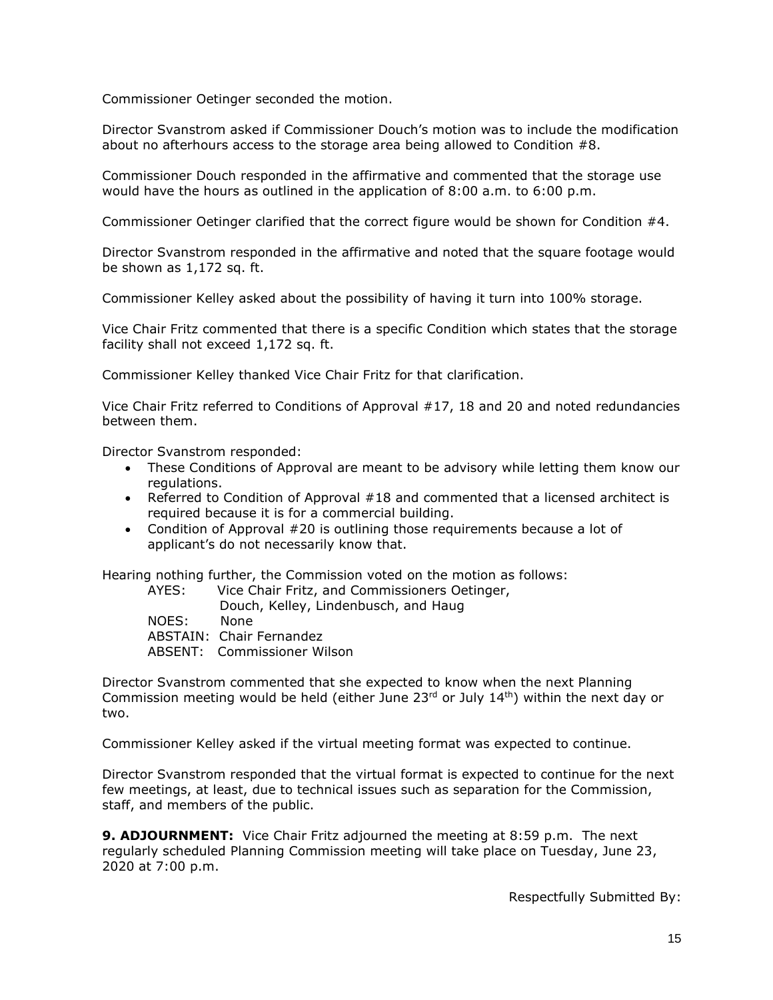Commissioner Oetinger seconded the motion.

Director Svanstrom asked if Commissioner Douch's motion was to include the modification about no afterhours access to the storage area being allowed to Condition #8.

Commissioner Douch responded in the affirmative and commented that the storage use would have the hours as outlined in the application of 8:00 a.m. to 6:00 p.m.

Commissioner Oetinger clarified that the correct figure would be shown for Condition #4.

Director Svanstrom responded in the affirmative and noted that the square footage would be shown as 1,172 sq. ft.

Commissioner Kelley asked about the possibility of having it turn into 100% storage.

Vice Chair Fritz commented that there is a specific Condition which states that the storage facility shall not exceed 1,172 sq. ft.

Commissioner Kelley thanked Vice Chair Fritz for that clarification.

Vice Chair Fritz referred to Conditions of Approval #17, 18 and 20 and noted redundancies between them.

Director Svanstrom responded:

- These Conditions of Approval are meant to be advisory while letting them know our regulations.
- Referred to Condition of Approval #18 and commented that a licensed architect is required because it is for a commercial building.
- Condition of Approval #20 is outlining those requirements because a lot of applicant's do not necessarily know that.

Hearing nothing further, the Commission voted on the motion as follows:

AYES: Vice Chair Fritz, and Commissioners Oetinger, Douch, Kelley, Lindenbusch, and Haug NOES: None ABSTAIN: Chair Fernandez ABSENT: Commissioner Wilson

Director Svanstrom commented that she expected to know when the next Planning Commission meeting would be held (either June 23<sup>rd</sup> or July 14<sup>th</sup>) within the next day or two.

Commissioner Kelley asked if the virtual meeting format was expected to continue.

Director Svanstrom responded that the virtual format is expected to continue for the next few meetings, at least, due to technical issues such as separation for the Commission, staff, and members of the public.

**9. ADJOURNMENT:** Vice Chair Fritz adjourned the meeting at 8:59 p.m. The next regularly scheduled Planning Commission meeting will take place on Tuesday, June 23, 2020 at 7:00 p.m.

Respectfully Submitted By: